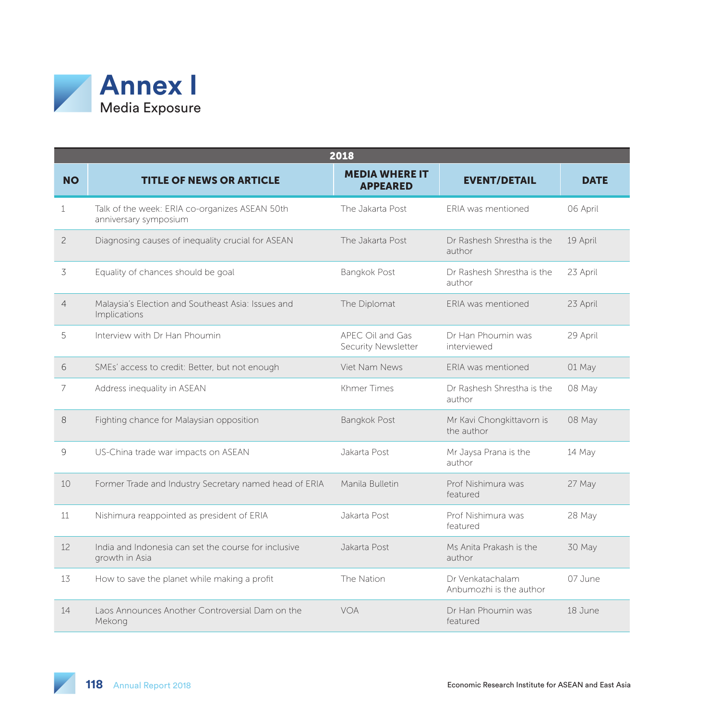

|                | 2018                                                                    |                                          |                                             |             |  |  |
|----------------|-------------------------------------------------------------------------|------------------------------------------|---------------------------------------------|-------------|--|--|
| <b>NO</b>      | <b>TITLE OF NEWS OR ARTICLE</b>                                         | <b>MEDIA WHERE IT</b><br><b>APPEARED</b> | <b>EVENT/DETAIL</b>                         | <b>DATE</b> |  |  |
| 1              | Talk of the week: ERIA co-organizes ASEAN 50th<br>anniversary symposium | The Jakarta Post                         | <b>FRIA</b> was mentioned                   | 06 April    |  |  |
| $\overline{c}$ | Diagnosing causes of inequality crucial for ASEAN                       | The Jakarta Post                         | Dr Rashesh Shrestha is the<br>author        | 19 April    |  |  |
| 3              | Equality of chances should be goal                                      | <b>Bangkok Post</b>                      | Dr Rashesh Shrestha is the<br>author        | 23 April    |  |  |
| $\overline{4}$ | Malaysia's Election and Southeast Asia: Issues and<br>Implications      | The Diplomat                             | ERIA was mentioned                          | 23 April    |  |  |
| 5              | Interview with Dr Han Phoumin                                           | APEC Oil and Gas<br>Security Newsletter  | Dr Han Phoumin was<br>interviewed           | 29 April    |  |  |
| 6              | SMEs' access to credit: Better, but not enough                          | Viet Nam News                            | <b>FRIA</b> was mentioned                   | 01 May      |  |  |
| 7              | Address inequality in ASEAN                                             | Khmer Times                              | Dr Rashesh Shrestha is the<br>author        | 08 May      |  |  |
| 8              | Fighting chance for Malaysian opposition                                | <b>Bangkok Post</b>                      | Mr Kavi Chongkittavorn is<br>the author     | 08 May      |  |  |
| 9              | US-China trade war impacts on ASEAN                                     | Jakarta Post                             | Mr Jaysa Prana is the<br>author             | 14 May      |  |  |
| 10             | Former Trade and Industry Secretary named head of ERIA                  | Manila Bulletin                          | Prof Nishimura was<br>featured              | 27 May      |  |  |
| 11             | Nishimura reappointed as president of ERIA                              | Jakarta Post                             | Prof Nishimura was<br>featured              | 28 May      |  |  |
| 12             | India and Indonesia can set the course for inclusive<br>growth in Asia  | Jakarta Post                             | Ms Anita Prakash is the<br>author           | 30 May      |  |  |
| 13             | How to save the planet while making a profit                            | The Nation                               | Dr Venkatachalam<br>Anbumozhi is the author | 07 June     |  |  |
| 14             | Laos Announces Another Controversial Dam on the<br>Mekong               | VOA                                      | Dr Han Phoumin was<br>featured              | 18 June     |  |  |

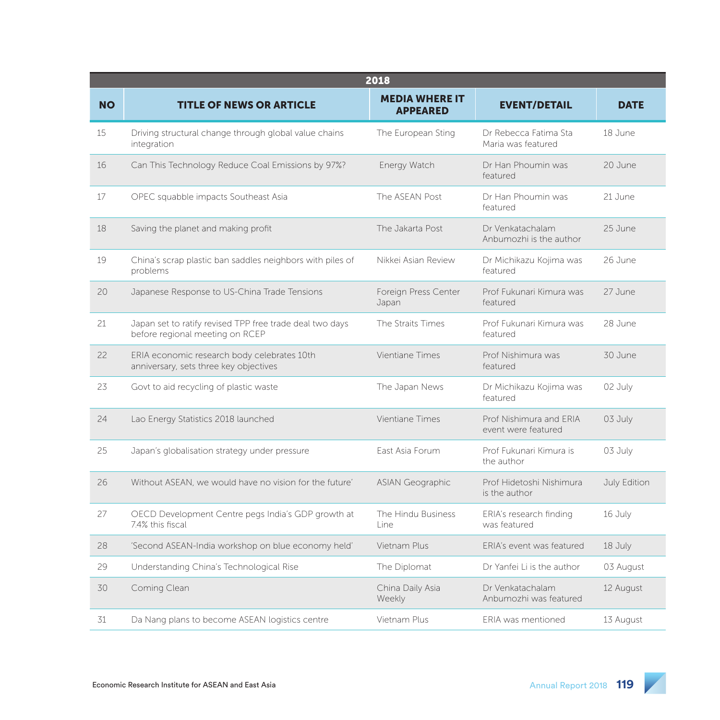|           | 2018                                                                                        |                                          |                                                |              |  |  |
|-----------|---------------------------------------------------------------------------------------------|------------------------------------------|------------------------------------------------|--------------|--|--|
| <b>NO</b> | <b>TITLE OF NEWS OR ARTICLE</b>                                                             | <b>MEDIA WHERE IT</b><br><b>APPEARED</b> | <b>EVENT/DETAIL</b>                            | <b>DATE</b>  |  |  |
| 15        | Driving structural change through global value chains<br>integration                        | The European Sting                       | Dr Rebecca Fatima Sta<br>Maria was featured    | 18 June      |  |  |
| 16        | Can This Technology Reduce Coal Emissions by 97%?                                           | Energy Watch                             | Dr Han Phoumin was<br>featured                 | 20 June      |  |  |
| 17        | OPEC squabble impacts Southeast Asia                                                        | The ASEAN Post                           | Dr Han Phoumin was<br>featured                 | 21 June      |  |  |
| 18        | Saving the planet and making profit                                                         | The Jakarta Post                         | Dr Venkatachalam<br>Anbumozhi is the author    | 25 June      |  |  |
| 19        | China's scrap plastic ban saddles neighbors with piles of<br>problems                       | Nikkei Asian Review                      | Dr Michikazu Kojima was<br>featured            | 26 June      |  |  |
| 20        | Japanese Response to US-China Trade Tensions                                                | Foreign Press Center<br>Japan            | Prof Fukunari Kimura was<br>featured           | 27 June      |  |  |
| 21        | Japan set to ratify revised TPP free trade deal two days<br>before regional meeting on RCEP | The Straits Times                        | Prof Fukunari Kimura was<br>featured           | 28 June      |  |  |
| 22        | ERIA economic research body celebrates 10th<br>anniversary, sets three key objectives       | Vientiane Times                          | Prof Nishimura was<br>featured                 | 30 June      |  |  |
| 23        | Govt to aid recycling of plastic waste                                                      | The Japan News                           | Dr Michikazu Kojima was<br>featured            | 02 July      |  |  |
| 24        | Lao Energy Statistics 2018 launched                                                         | Vientiane Times                          | Prof Nishimura and ERIA<br>event were featured | 03 July      |  |  |
| 25        | Japan's globalisation strategy under pressure                                               | East Asia Forum                          | Prof Fukunari Kimura is<br>the author          | 03 July      |  |  |
| 26        | Without ASEAN, we would have no vision for the future'                                      | <b>ASIAN Geographic</b>                  | Prof Hidetoshi Nishimura<br>is the author      | July Edition |  |  |
| 27        | OECD Development Centre pegs India's GDP growth at<br>7.4% this fiscal                      | The Hindu Business<br>I ine              | ERIA's research finding<br>was featured        | 16 July      |  |  |
| 28        | 'Second ASEAN-India workshop on blue economy held'                                          | Vietnam Plus                             | ERIA's event was featured                      | 18 July      |  |  |
| 29        | Understanding China's Technological Rise                                                    | The Diplomat                             | Dr Yanfei Li is the author                     | 03 August    |  |  |
| 30        | Coming Clean                                                                                | China Daily Asia<br>Weekly               | Dr Venkatachalam<br>Anbumozhi was featured     | 12 August    |  |  |
| 31        | Da Nang plans to become ASEAN logistics centre                                              | Vietnam Plus                             | ERIA was mentioned                             | 13 August    |  |  |

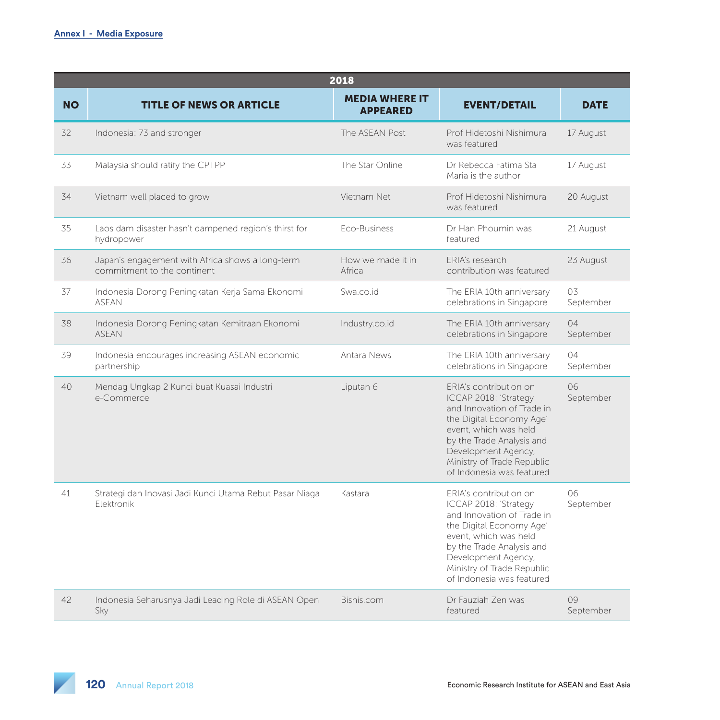|           | 2018                                                                            |                                          |                                                                                                                                                                                                                                                   |                 |  |  |
|-----------|---------------------------------------------------------------------------------|------------------------------------------|---------------------------------------------------------------------------------------------------------------------------------------------------------------------------------------------------------------------------------------------------|-----------------|--|--|
| <b>NO</b> | <b>TITLE OF NEWS OR ARTICLE</b>                                                 | <b>MEDIA WHERE IT</b><br><b>APPEARED</b> | <b>EVENT/DETAIL</b>                                                                                                                                                                                                                               | <b>DATE</b>     |  |  |
| 32        | Indonesia: 73 and stronger                                                      | The ASFAN Post                           | Prof Hidetoshi Nishimura<br>was featured                                                                                                                                                                                                          | 17 August       |  |  |
| 33        | Malaysia should ratify the CPTPP                                                | The Star Online                          | Dr Rebecca Fatima Sta<br>Maria is the author                                                                                                                                                                                                      | 17 August       |  |  |
| 34        | Vietnam well placed to grow                                                     | Vietnam Net                              | Prof Hidetoshi Nishimura<br>was featured                                                                                                                                                                                                          | 20 August       |  |  |
| 35        | Laos dam disaster hasn't dampened region's thirst for<br>hydropower             | Eco-Business                             | Dr Han Phoumin was<br>featured                                                                                                                                                                                                                    | 21 August       |  |  |
| 36        | Japan's engagement with Africa shows a long-term<br>commitment to the continent | How we made it in<br>Africa              | <b>FRIA's research</b><br>contribution was featured                                                                                                                                                                                               | 23 August       |  |  |
| 37        | Indonesia Dorong Peningkatan Kerja Sama Ekonomi<br><b>ASEAN</b>                 | Swa.co.id                                | The ERIA 10th anniversary<br>celebrations in Singapore                                                                                                                                                                                            | 03<br>September |  |  |
| 38        | Indonesia Dorong Peningkatan Kemitraan Ekonomi<br><b>ASEAN</b>                  | Industry.co.id                           | The ERIA 10th anniversary<br>celebrations in Singapore                                                                                                                                                                                            | 04<br>September |  |  |
| 39        | Indonesia encourages increasing ASEAN economic<br>partnership                   | Antara News                              | The ERIA 10th anniversary<br>celebrations in Singapore                                                                                                                                                                                            | 04<br>September |  |  |
| 40        | Mendag Ungkap 2 Kunci buat Kuasai Industri<br>e-Commerce                        | Liputan 6                                | ERIA's contribution on<br>ICCAP 2018: 'Strategy<br>and Innovation of Trade in<br>the Digital Economy Age'<br>event, which was held<br>by the Trade Analysis and<br>Development Agency,<br>Ministry of Trade Republic<br>of Indonesia was featured | 06<br>September |  |  |
| 41        | Strategi dan Inovasi Jadi Kunci Utama Rebut Pasar Niaga<br>Flektronik           | Kastara                                  | ERIA's contribution on<br>ICCAP 2018: 'Strategy<br>and Innovation of Trade in<br>the Digital Economy Age'<br>event, which was held<br>by the Trade Analysis and<br>Development Agency,<br>Ministry of Trade Republic<br>of Indonesia was featured | 06<br>September |  |  |
| 42        | Indonesia Seharusnya Jadi Leading Role di ASEAN Open<br>Sky                     | Bisnis.com                               | Dr Fauziah Zen was<br>featured                                                                                                                                                                                                                    | 09<br>September |  |  |

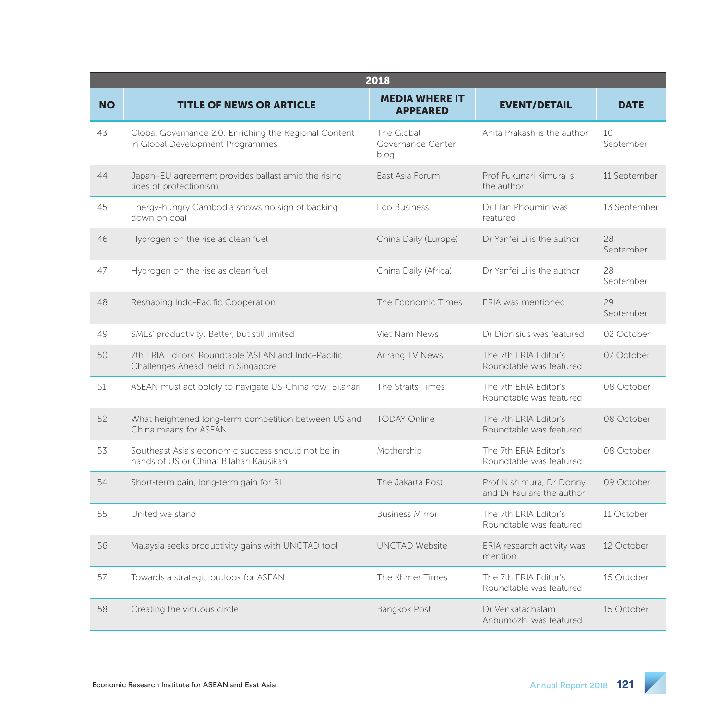|           | 2018                                                                                          |                                          |                                                       |                 |  |  |
|-----------|-----------------------------------------------------------------------------------------------|------------------------------------------|-------------------------------------------------------|-----------------|--|--|
| <b>NO</b> | <b>TITLE OF NEWS OR ARTICLE</b>                                                               | <b>MEDIA WHERE IT</b><br><b>APPEARED</b> | <b>EVENT/DETAIL</b>                                   | <b>DATE</b>     |  |  |
| 43        | Global Governance 2.0: Enriching the Regional Content<br>in Global Development Programmes     | The Global<br>Governance Center<br>blog  | Anita Prakash is the author                           | 10<br>September |  |  |
| 44        | Japan-EU agreement provides ballast amid the rising<br>tides of protectionism                 | East Asia Forum                          | Prof Fukunari Kimura is<br>the author                 | 11 September    |  |  |
| 45        | Energy-hungry Cambodia shows no sign of backing<br>down on coal                               | Eco Business                             | Dr Han Phoumin was<br>featured                        | 13 September    |  |  |
| 46        | Hydrogen on the rise as clean fuel                                                            | China Daily (Europe)                     | Dr Yanfei Li is the author                            | 28<br>September |  |  |
| 47        | Hydrogen on the rise as clean fuel                                                            | China Daily (Africa)                     | Dr Yanfei Li is the author                            | 28<br>September |  |  |
| 48        | Reshaping Indo-Pacific Cooperation                                                            | The Economic Times                       | ERIA was mentioned                                    | 29<br>September |  |  |
| 49        | SMEs' productivity: Better, but still limited                                                 | Viet Nam News                            | Dr Dionisius was featured                             | 02 October      |  |  |
| 50        | 7th ERIA Editors' Roundtable 'ASEAN and Indo-Pacific:<br>Challenges Ahead' held in Singapore  | Arirang TV News                          | The 7th FRIA Editor's<br>Roundtable was featured      | 07 October      |  |  |
| 51        | ASEAN must act boldly to navigate US-China row: Bilahari                                      | The Straits Times                        | The 7th ERIA Editor's<br>Roundtable was featured      | 08 October      |  |  |
| 52        | What heightened long-term competition between US and<br>China means for ASEAN                 | <b>TODAY Online</b>                      | The 7th ERIA Editor's<br>Roundtable was featured      | 08 October      |  |  |
| 53        | Southeast Asia's economic success should not be in<br>hands of US or China: Bilahari Kausikan | Mothership                               | The 7th ERIA Editor's<br>Roundtable was featured      | 08 October      |  |  |
| 54        | Short-term pain, long-term gain for RI                                                        | The Jakarta Post                         | Prof Nishimura, Dr Donny<br>and Dr Fau are the author | 09 October      |  |  |
| 55        | United we stand                                                                               | <b>Business Mirror</b>                   | The 7th FRIA Editor's<br>Roundtable was featured      | 11 October      |  |  |
| 56        | Malaysia seeks productivity gains with UNCTAD tool                                            | <b>UNCTAD Website</b>                    | ERIA research activity was<br>mention                 | 12 October      |  |  |
| 57        | Towards a strategic outlook for ASEAN                                                         | The Khmer Times                          | The 7th ERIA Editor's<br>Roundtable was featured      | 15 October      |  |  |
| 58        | Creating the virtuous circle                                                                  | <b>Bangkok Post</b>                      | Dr Venkatachalam<br>Anbumozhi was featured            | 15 October      |  |  |

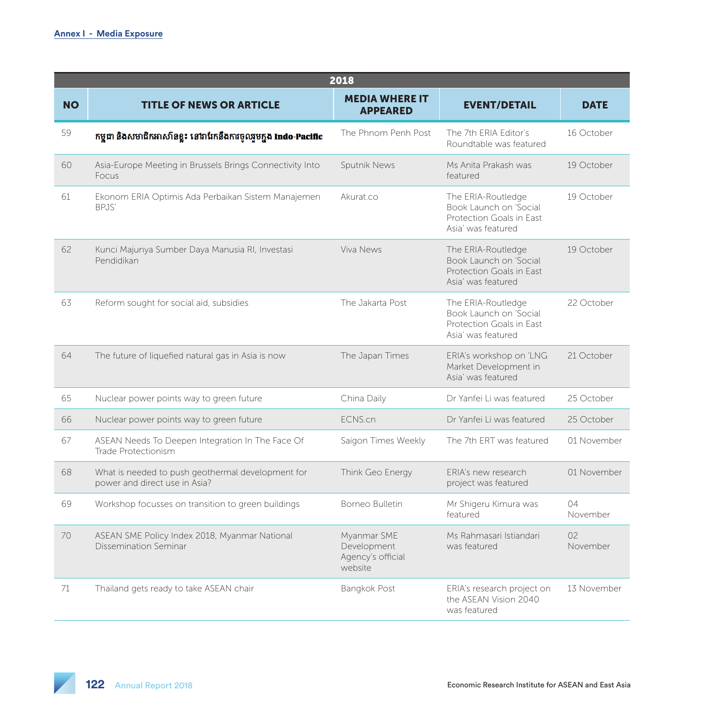|           | 2018                                                                               |                                                            |                                                                                                |                            |  |
|-----------|------------------------------------------------------------------------------------|------------------------------------------------------------|------------------------------------------------------------------------------------------------|----------------------------|--|
| <b>NO</b> | <b>TITLE OF NEWS OR ARTICLE</b>                                                    | <b>MEDIA WHERE IT</b><br><b>APPEARED</b>                   | <b>EVENT/DETAIL</b>                                                                            | <b>DATE</b>                |  |
| 59        | កម្ពុជា និងសមាជិកអាស៊ាំនខ្លះ នៅរាវែកនឹងការចូលរួមក្នុង Indo-Pacific                 | The Phnom Penh Post                                        | The 7th ERIA Editor's<br>Roundtable was featured                                               | 16 October                 |  |
| 60        | Asia-Europe Meeting in Brussels Brings Connectivity Into<br>Focus                  | Sputnik News                                               | Ms Anita Prakash was<br>featured                                                               | 19 October                 |  |
| 61        | Ekonom ERIA Optimis Ada Perbaikan Sistem Manajemen<br>BPJS'                        | Akurat.co                                                  | The ERIA-Routledge<br>Book Launch on 'Social<br>Protection Goals in East<br>Asia' was featured | 19 October                 |  |
| 62        | Kunci Majunya Sumber Daya Manusia RI, Investasi<br>Pendidikan                      | Viva News                                                  | The ERIA-Routledge<br>Book Launch on 'Social<br>Protection Goals in East<br>Asia' was featured | 19 October                 |  |
| 63        | Reform sought for social aid, subsidies                                            | The Jakarta Post                                           | The ERIA-Routledge<br>Book Launch on 'Social<br>Protection Goals in East<br>Asia' was featured | 22 October                 |  |
| 64        | The future of liquefied natural gas in Asia is now                                 | The Japan Times                                            | ERIA's workshop on 'LNG<br>Market Development in<br>Asia' was featured                         | 21 October                 |  |
| 65        | Nuclear power points way to green future                                           | China Daily                                                | Dr Yanfei Li was featured                                                                      | 25 October                 |  |
| 66        | Nuclear power points way to green future                                           | ECNS.cn                                                    | Dr Yanfei Li was featured                                                                      | 25 October                 |  |
| 67        | ASEAN Needs To Deepen Integration In The Face Of<br>Trade Protectionism            | Saigon Times Weekly                                        | The 7th ERT was featured                                                                       | 01 November                |  |
| 68        | What is needed to push geothermal development for<br>power and direct use in Asia? | Think Geo Energy                                           | ERIA's new research<br>project was featured                                                    | 01 November                |  |
| 69        | Workshop focusses on transition to green buildings                                 | Borneo Bulletin                                            | Mr Shigeru Kimura was<br>featured                                                              | $\bigcap 4$<br>November    |  |
| 70        | ASEAN SME Policy Index 2018, Myanmar National<br>Dissemination Seminar             | Myanmar SME<br>Development<br>Agency's official<br>website | Ms Rahmasari Istiandari<br>was featured                                                        | O <sub>2</sub><br>November |  |
| 71        | Thailand gets ready to take ASEAN chair                                            | Bangkok Post                                               | ERIA's research project on<br>the ASEAN Vision 2040<br>was featured                            | 13 November                |  |

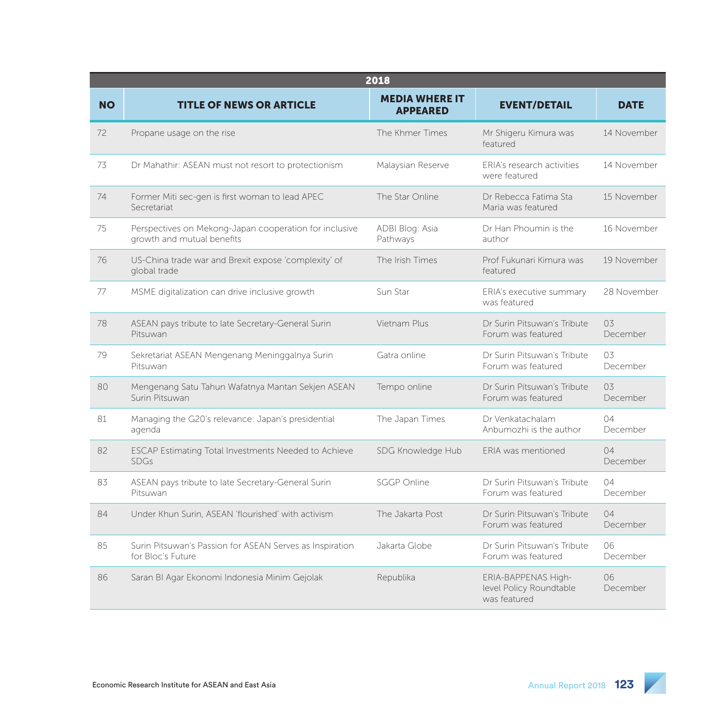|           | 2018                                                                                 |                                          |                                                                |                              |  |  |
|-----------|--------------------------------------------------------------------------------------|------------------------------------------|----------------------------------------------------------------|------------------------------|--|--|
| <b>NO</b> | <b>TITLE OF NEWS OR ARTICLE</b>                                                      | <b>MEDIA WHERE IT</b><br><b>APPEARED</b> | <b>EVENT/DETAIL</b>                                            | <b>DATE</b>                  |  |  |
| 72        | Propane usage on the rise                                                            | The Khmer Times                          | Mr Shigeru Kimura was<br>featured                              | 14 November                  |  |  |
| 73        | Dr Mahathir: ASEAN must not resort to protectionism                                  | Malaysian Reserve                        | ERIA's research activities<br>were featured                    | 14 November                  |  |  |
| 74        | Former Miti sec-gen is first woman to lead APEC<br>Secretariat                       | The Star Online                          | Dr Rebecca Fatima Sta<br>Maria was featured                    | 15 November                  |  |  |
| 75        | Perspectives on Mekong-Japan cooperation for inclusive<br>growth and mutual benefits | ADBI Blog: Asia<br>Pathways              | Dr Han Phoumin is the<br>author                                | 16 November                  |  |  |
| 76        | US-China trade war and Brexit expose 'complexity' of<br>global trade                 | The Irish Times                          | Prof Eukunari Kimura was<br>featured                           | 19 November                  |  |  |
| 77        | MSME digitalization can drive inclusive growth                                       | Sun Star                                 | ERIA's executive summary<br>was featured                       | 28 November                  |  |  |
| 78        | ASEAN pays tribute to late Secretary-General Surin<br>Pitsuwan                       | Vietnam Plus                             | Dr Surin Pitsuwan's Tribute<br>Forum was featured              | 0.3 <sup>5</sup><br>December |  |  |
| 79        | Sekretariat ASEAN Mengenang Meninggalnya Surin<br>Pitsuwan                           | Gatra online                             | Dr Surin Pitsuwan's Tribute<br>Forum was featured              | 0.3 <sub>5</sub><br>December |  |  |
| 80        | Mengenang Satu Tahun Wafatnya Mantan Sekjen ASEAN<br>Surin Pitsuwan                  | Tempo online                             | Dr Surin Pitsuwan's Tribute<br>Forum was featured              | 03<br>December               |  |  |
| 81        | Managing the G20's relevance: Japan's presidential<br>agenda                         | The Japan Times                          | Dr Venkatachalam<br>Anbumozhi is the author                    | 04<br>December               |  |  |
| 82        | ESCAP Estimating Total Investments Needed to Achieve<br><b>SDGs</b>                  | SDG Knowledge Hub                        | ERIA was mentioned                                             | 04<br>December               |  |  |
| 83        | ASEAN pays tribute to late Secretary-General Surin<br>Pitsuwan                       | <b>SGGP Online</b>                       | Dr Surin Pitsuwan's Tribute<br>Forum was featured              | 04<br>December               |  |  |
| 84        | Under Khun Surin, ASEAN 'flourished' with activism                                   | The Jakarta Post                         | Dr Surin Pitsuwan's Tribute<br>Forum was featured              | 04<br>December               |  |  |
| 85        | Surin Pitsuwan's Passion for ASEAN Serves as Inspiration<br>for Bloc's Future        | Jakarta Globe                            | Dr Surin Pitsuwan's Tribute<br>Forum was featured              | 06<br>December               |  |  |
| 86        | Saran BI Agar Ekonomi Indonesia Minim Gejolak                                        | Republika                                | ERIA-BAPPENAS High-<br>level Policy Roundtable<br>was featured | 06<br>December               |  |  |

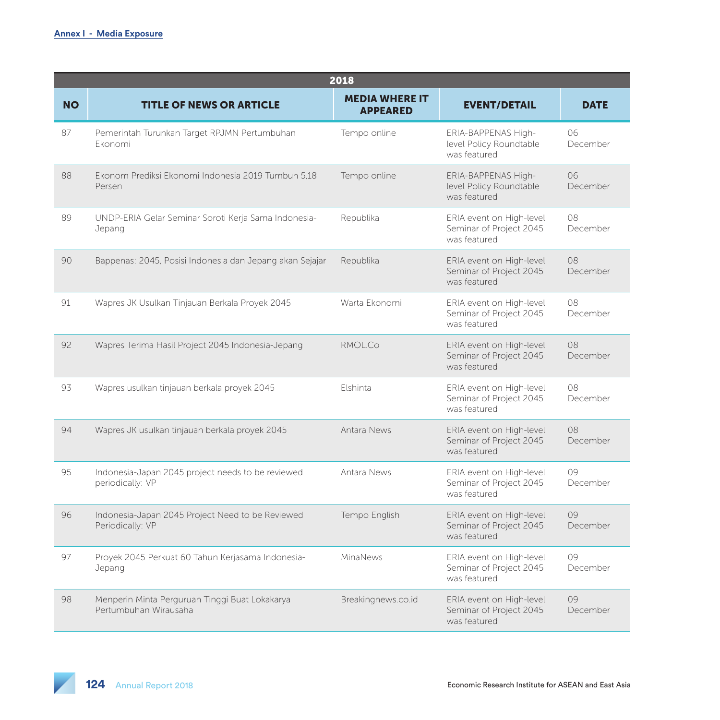|           | 2018                                                                    |                                          |                                                                     |                |  |
|-----------|-------------------------------------------------------------------------|------------------------------------------|---------------------------------------------------------------------|----------------|--|
| <b>NO</b> | <b>TITLE OF NEWS OR ARTICLE</b>                                         | <b>MEDIA WHERE IT</b><br><b>APPEARED</b> | <b>EVENT/DETAIL</b>                                                 | <b>DATE</b>    |  |
| 87        | Pemerintah Turunkan Target RPJMN Pertumbuhan<br>Ekonomi                 | Tempo online                             | ERIA-BAPPENAS High-<br>level Policy Roundtable<br>was featured      | 06<br>December |  |
| 88        | Ekonom Prediksi Ekonomi Indonesia 2019 Tumbuh 5,18<br>Persen            | Tempo online                             | ERIA-BAPPENAS High-<br>level Policy Roundtable<br>was featured      | 06<br>December |  |
| 89        | UNDP-ERIA Gelar Seminar Soroti Kerja Sama Indonesia-<br>Jepang          | Republika                                | ERIA event on High-level<br>Seminar of Project 2045<br>was featured | 08<br>December |  |
| 90        | Bappenas: 2045, Posisi Indonesia dan Jepang akan Sejajar                | Republika                                | ERIA event on High-level<br>Seminar of Project 2045<br>was featured | 08<br>December |  |
| 91        | Wapres JK Usulkan Tinjauan Berkala Proyek 2045                          | Warta Ekonomi                            | ERIA event on High-level<br>Seminar of Project 2045<br>was featured | 08<br>December |  |
| 92        | Wapres Terima Hasil Project 2045 Indonesia-Jepang                       | RMOL.Co.                                 | ERIA event on High-level<br>Seminar of Project 2045<br>was featured | 08<br>December |  |
| 93        | Wapres usulkan tinjauan berkala proyek 2045                             | Elshinta                                 | ERIA event on High-level<br>Seminar of Project 2045<br>was featured | 08<br>December |  |
| 94        | Wapres JK usulkan tinjauan berkala proyek 2045                          | Antara News                              | ERIA event on High-level<br>Seminar of Project 2045<br>was featured | 08<br>December |  |
| 95        | Indonesia-Japan 2045 project needs to be reviewed<br>periodically: VP   | Antara News                              | ERIA event on High-level<br>Seminar of Project 2045<br>was featured | 09<br>December |  |
| 96        | Indonesia-Japan 2045 Project Need to be Reviewed<br>Periodically: VP    | Tempo English                            | ERIA event on High-level<br>Seminar of Project 2045<br>was featured | 09<br>December |  |
| 97        | Proyek 2045 Perkuat 60 Tahun Kerjasama Indonesia-<br>Jepang             | MinaNews                                 | ERIA event on High-level<br>Seminar of Project 2045<br>was featured | 09<br>December |  |
| 98        | Menperin Minta Perguruan Tinggi Buat Lokakarya<br>Pertumbuhan Wirausaha | Breakingnews.co.id                       | ERIA event on High-level<br>Seminar of Project 2045<br>was featured | 09<br>December |  |

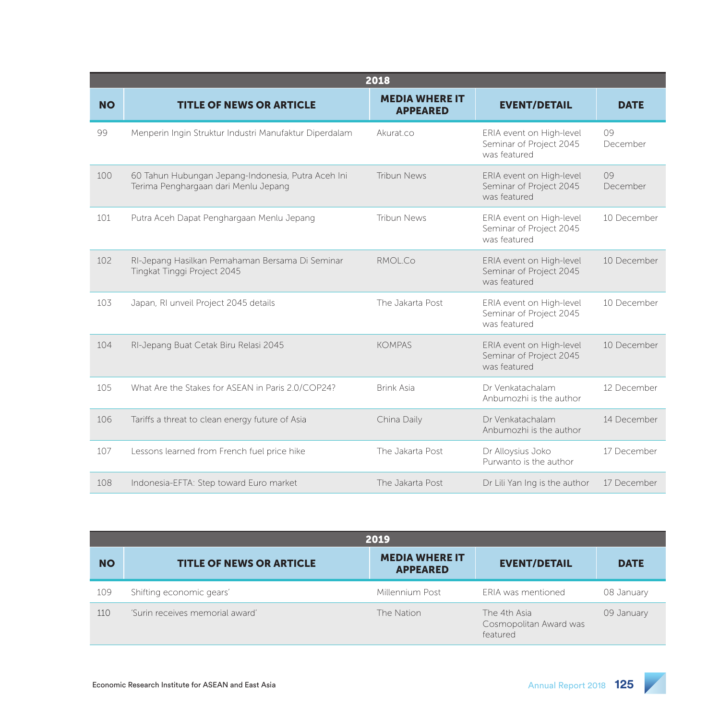|           |                                                                                            | 2018                                     |                                                                     |                |
|-----------|--------------------------------------------------------------------------------------------|------------------------------------------|---------------------------------------------------------------------|----------------|
| <b>NO</b> | <b>TITLE OF NEWS OR ARTICLE</b>                                                            | <b>MEDIA WHERE IT</b><br><b>APPEARED</b> | <b>EVENT/DETAIL</b>                                                 | <b>DATE</b>    |
| 99        | Menperin Ingin Struktur Industri Manufaktur Diperdalam                                     | Akurat.co                                | ERIA event on High-level<br>Seminar of Project 2045<br>was featured | 09<br>December |
| 100       | 60 Tahun Hubungan Jepang-Indonesia, Putra Aceh Ini<br>Terima Penghargaan dari Menlu Jepang | Tribun News                              | ERIA event on High-level<br>Seminar of Project 2045<br>was featured | 09<br>December |
| 101       | Putra Aceh Dapat Penghargaan Menlu Jepang                                                  | <b>Tribun News</b>                       | ERIA event on High-level<br>Seminar of Project 2045<br>was featured | 10 December    |
| 102       | RI-Jepang Hasilkan Pemahaman Bersama Di Seminar<br>Tingkat Tinggi Project 2045             | RMOL.Co.                                 | ERIA event on High-level<br>Seminar of Project 2045<br>was featured | 10 December    |
| 103       | Japan, RI unveil Project 2045 details                                                      | The Jakarta Post                         | ERIA event on High-level<br>Seminar of Project 2045<br>was featured | 10 December    |
| 104       | RI-Jepang Buat Cetak Biru Relasi 2045                                                      | <b>KOMPAS</b>                            | ERIA event on High-level<br>Seminar of Project 2045<br>was featured | 10 December    |
| 105       | What Are the Stakes for ASEAN in Paris 2.0/COP24?                                          | <b>Brink Asia</b>                        | Dr Venkatachalam<br>Anbumozhi is the author                         | 12 December    |
| 106       | Tariffs a threat to clean energy future of Asia                                            | China Daily                              | Dr Venkatachalam<br>Anbumozhi is the author                         | 14 December    |
| 107       | Lessons learned from French fuel price hike                                                | The Jakarta Post                         | Dr Alloysius Joko<br>Purwanto is the author                         | 17 December    |
| 108       | Indonesia-EFTA: Step toward Euro market                                                    | The Jakarta Post                         | Dr Lili Yan Ing is the author                                       | 17 December    |

| 2019      |                                 |                                          |                                                    |             |
|-----------|---------------------------------|------------------------------------------|----------------------------------------------------|-------------|
| <b>NO</b> | <b>TITLE OF NEWS OR ARTICLE</b> | <b>MEDIA WHERE IT</b><br><b>APPEARED</b> | <b>EVENT/DETAIL</b>                                | <b>DATE</b> |
| 109       | Shifting economic gears'        | Millennium Post                          | <b>FRIA</b> was mentioned                          | 08 January  |
| 110       | 'Surin receives memorial award' | The Nation                               | The 4th Asia<br>Cosmopolitan Award was<br>featured | 09 January  |

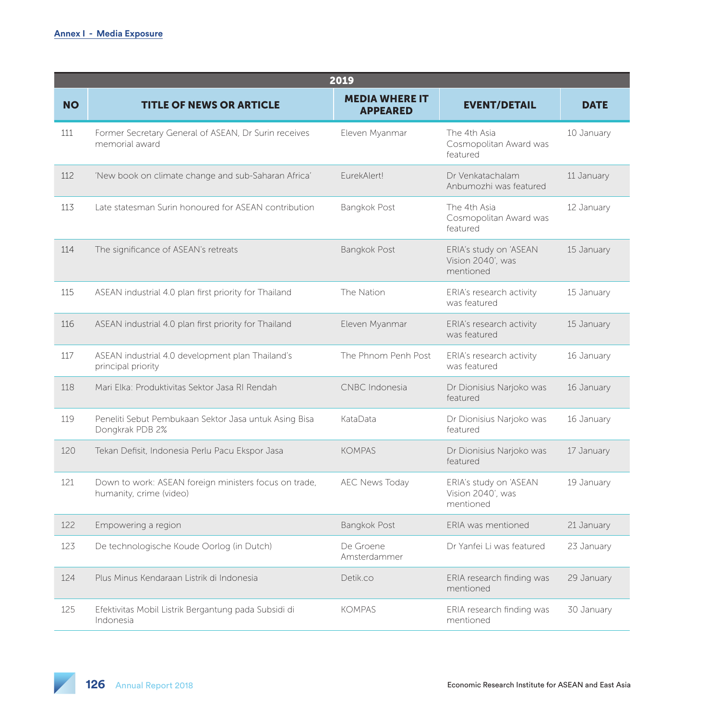|           |                                                                                  | 2019                                     |                                                          |             |
|-----------|----------------------------------------------------------------------------------|------------------------------------------|----------------------------------------------------------|-------------|
| <b>NO</b> | <b>TITLE OF NEWS OR ARTICLE</b>                                                  | <b>MEDIA WHERE IT</b><br><b>APPEARED</b> | <b>EVENT/DETAIL</b>                                      | <b>DATE</b> |
| 111       | Former Secretary General of ASEAN, Dr Surin receives<br>memorial award           | Eleven Myanmar                           | The 4th Asia<br>Cosmopolitan Award was<br>featured       | 10 January  |
| 112       | 'New book on climate change and sub-Saharan Africa'                              | EurekAlert!                              | Dr Venkatachalam<br>Anbumozhi was featured               | 11 January  |
| 113       | Late statesman Surin honoured for ASEAN contribution                             | Bangkok Post                             | The 4th Asia<br>Cosmopolitan Award was<br>featured       | 12 January  |
| 114       | The significance of ASEAN's retreats                                             | <b>Bangkok Post</b>                      | ERIA's study on 'ASEAN<br>Vision 2040', was<br>mentioned | 15 January  |
| 115       | ASEAN industrial 4.0 plan first priority for Thailand                            | The Nation                               | ERIA's research activity<br>was featured                 | 15 January  |
| 116       | ASEAN industrial 4.0 plan first priority for Thailand                            | Eleven Myanmar                           | ERIA's research activity<br>was featured                 | 15 January  |
| 117       | ASEAN industrial 4.0 development plan Thailand's<br>principal priority           | The Phnom Penh Post                      | ERIA's research activity<br>was featured                 | 16 January  |
| 118       | Mari Elka: Produktivitas Sektor Jasa RI Rendah                                   | CNBC Indonesia                           | Dr Dionisius Narjoko was<br>featured                     | 16 January  |
| 119       | Peneliti Sebut Pembukaan Sektor Jasa untuk Asing Bisa<br>Dongkrak PDB 2%         | KataData                                 | Dr Dionisius Narjoko was<br>featured                     | 16 January  |
| 120       | Tekan Defisit, Indonesia Perlu Pacu Ekspor Jasa                                  | <b>KOMPAS</b>                            | Dr Dionisius Narjoko was<br>featured                     | 17 January  |
| 121       | Down to work: ASEAN foreign ministers focus on trade,<br>humanity, crime (video) | <b>AEC News Today</b>                    | ERIA's study on 'ASEAN<br>Vision 2040', was<br>mentioned | 19 January  |
| 122       | Empowering a region                                                              | Bangkok Post                             | ERIA was mentioned                                       | 21 January  |
| 123       | De technologische Koude Oorlog (in Dutch)                                        | De Groene<br>Amsterdammer                | Dr Yanfei Li was featured                                | 23 January  |
| 124       | Plus Minus Kendaraan Listrik di Indonesia                                        | Detik.co                                 | ERIA research finding was<br>mentioned                   | 29 January  |
| 125       | Efektivitas Mobil Listrik Bergantung pada Subsidi di<br>Indonesia                | <b>KOMPAS</b>                            | ERIA research finding was<br>mentioned                   | 30 January  |